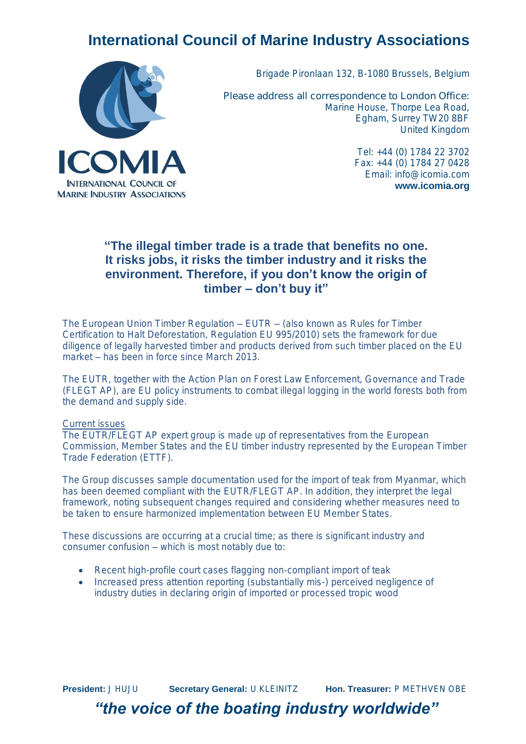# **International Council of Marine Industry Associations**



Brigade Pironlaan 132, B-1080 Brussels, Belgium

*Please address all correspondence to London Office:* Marine House, Thorpe Lea Road, Egham, Surrey TW20 8BF United Kingdom

> Tel: +44 (0) 1784 22 3702 Fax: +44 (0) 1784 27 0428 Email: [info@icomia.com](mailto:info@icomia.com) **www.icomia.org**

# **"The illegal timber trade is a trade that benefits no one. It risks jobs, it risks the timber industry and it risks the environment. Therefore, if you don't know the origin of timber – don't buy it"**

The European Union Timber Regulation – EUTR – (also known as Rules for Timber Certification to Halt Deforestation, Regulation EU 995/2010) sets the framework for due diligence of legally harvested timber and products derived from such timber placed on the EU market – has been in force since March 2013.

The EUTR, together with the Action Plan on Forest Law Enforcement, Governance and Trade (FLEGT AP), are EU policy instruments to combat illegal logging in the world forests both from the demand and supply side.

#### Current issues

The EUTR/FLEGT AP expert group is made up of representatives from the European Commission, Member States and the EU timber industry represented by the European Timber Trade Federation (ETTF).

The Group discusses sample documentation used for the import of teak from Myanmar, which has been deemed compliant with the EUTR/FLEGT AP. In addition, they interpret the legal framework, noting subsequent changes required and considering whether measures need to be taken to ensure harmonized implementation between EU Member States.

These discussions are occurring at a crucial time; as there is significant industry and consumer confusion – which is most notably due to:

- Recent high-profile court cases flagging non-compliant import of teak
- Increased press attention reporting (substantially mis-) perceived negligence of industry duties in declaring origin of imported or processed tropic wood

**President:** J HUJU **Secretary General:** U KLEINITZ **Hon. Treasurer:** P METHVEN OBE *"the voice of the boating industry worldwide"*